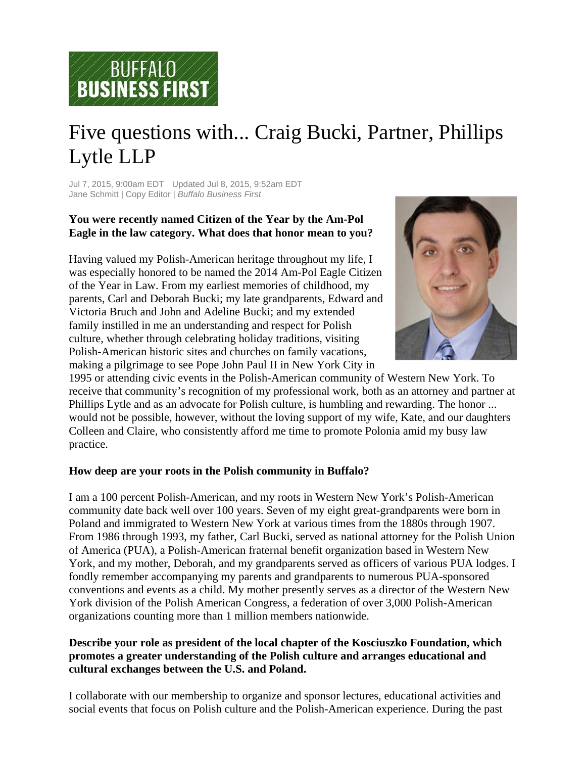

# Five questions with... Craig Bucki, Partner, Phillips Lytle LLP

Jul 7, 2015, 9:00am EDT Updated Jul 8, 2015, 9:52am EDT Jane Schmitt | Copy Editor | *Buffalo Business First*

## **You were recently named Citizen of the Year by the Am-Pol Eagle in the law category. What does that honor mean to you?**

Having valued my Polish-American heritage throughout my life, I was especially honored to be named the 2014 Am-Pol Eagle Citizen of the Year in Law. From my earliest memories of childhood, my parents, Carl and Deborah Bucki; my late grandparents, Edward and Victoria Bruch and John and Adeline Bucki; and my extended family instilled in me an understanding and respect for Polish culture, whether through celebrating holiday traditions, visiting Polish-American historic sites and churches on family vacations, making a pilgrimage to see Pope John Paul II in New York City in



1995 or attending civic events in the Polish-American community of Western New York. To receive that community's recognition of my professional work, both as an attorney and partner at Phillips Lytle and as an advocate for Polish culture, is humbling and rewarding. The honor ... would not be possible, however, without the loving support of my wife, Kate, and our daughters Colleen and Claire, who consistently afford me time to promote Polonia amid my busy law practice.

### **How deep are your roots in the Polish community in Buffalo?**

I am a 100 percent Polish-American, and my roots in Western New York's Polish-American community date back well over 100 years. Seven of my eight great-grandparents were born in Poland and immigrated to Western New York at various times from the 1880s through 1907. From 1986 through 1993, my father, Carl Bucki, served as national attorney for the Polish Union of America (PUA), a Polish-American fraternal benefit organization based in Western New York, and my mother, Deborah, and my grandparents served as officers of various PUA lodges. I fondly remember accompanying my parents and grandparents to numerous PUA-sponsored conventions and events as a child. My mother presently serves as a director of the Western New York division of the Polish American Congress, a federation of over 3,000 Polish-American organizations counting more than 1 million members nationwide.

#### **Describe your role as president of the local chapter of the Kosciuszko Foundation, which promotes a greater understanding of the Polish culture and arranges educational and cultural exchanges between the U.S. and Poland.**

I collaborate with our membership to organize and sponsor lectures, educational activities and social events that focus on Polish culture and the Polish-American experience. During the past